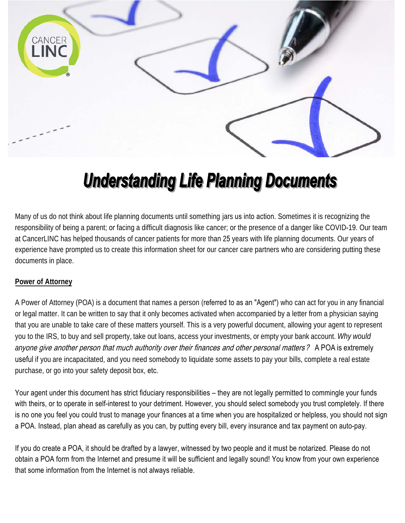

# **Understanding Life Planning Documents**

Many of us do not think about life planning documents until something jars us into action. Sometimes it is recognizing the responsibility of being a parent; or facing a difficult diagnosis like cancer; or the presence of a danger like COVID-19. Our team at CancerLINC has helped thousands of cancer patients for more than 25 years with life planning documents. Our years of experience have prompted us to create this information sheet for our cancer care partners who are considering putting these documents in place.

## **Power of Attorney**

A Power of Attorney (POA) is a document that names a person (referred to as an "Agent") who can act for you in any financial or legal matter. It can be written to say that it only becomes activated when accompanied by a letter from a physician saying that you are unable to take care of these matters yourself. This is a very powerful document, allowing your agent to represent you to the IRS, to buy and sell property, take out loans, access your investments, or empty your bank account. *Why would an*yone give another person that much authority over their finances and other personal matters? A POA is extremely useful if you are incapacitated, and you need somebody to liquidate some assets to pay your bills, complete a real estate purchase, or go into your safety deposit box, etc.

Your agent under this document has strict fiduciary responsibilities – they are not legally permitted to commingle your funds with theirs, or to operate in self-interest to your detriment. However, you should select somebody you trust completely. If there is no one you feel you could trust to manage your finances at a time when you are hospitalized or helpless, you should not sign a POA. Instead, plan ahead as carefully as you can, by putting every bill, every insurance and tax payment on auto-pay.

If you do create a POA, it should be drafted by a lawyer, witnessed by two people and it must be notarized. Please do not obtain a POA form from the Internet and presume it will be sufficient and legally sound! You know from your own experience that some information from the Internet is not always reliable.